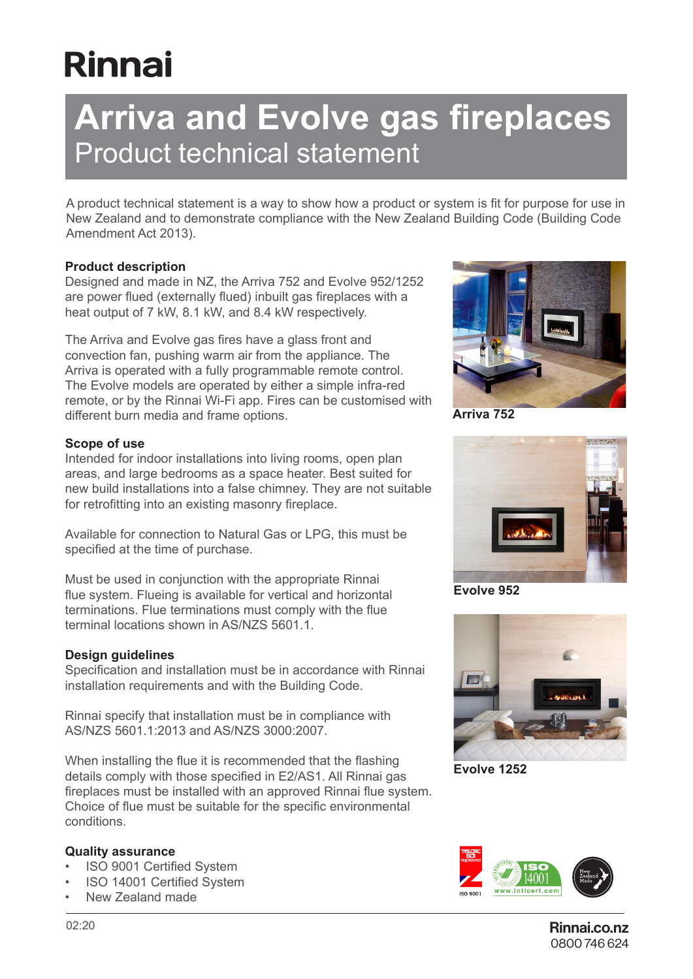# **Rinnai**

# **Arriva and Evolve gas fireplaces** Product technical statement

A product technical statement is a way to show how a product or system is fit for purpose for use in New Zealand and to demonstrate compliance with the New Zealand Building Code (Building Code Amendment Act 2013).

## **Product description**

Designed and made in NZ, the Arriva 752 and Evolve 952/1252 are power flued (externally flued) inbuilt gas fireplaces with a heat output of 7 kW, 8.1 kW, and 8.4 kW respectively.

The Arriva and Evolve gas fires have a glass front and convection fan, pushing warm air from the appliance. The Arriva is operated with a fully programmable remote control. The Evolve models are operated by either a simple infra-red remote, or by the Rinnai Wi-Fi app. Fires can be customised with different burn media and frame options.

## **Scope of use**

Intended for indoor installations into living rooms, open plan areas, and large bedrooms as a space heater. Best suited for new build installations into a false chimney. They are not suitable for retrofitting into an existing masonry fireplace.

Available for connection to Natural Gas or LPG, this must be specified at the time of purchase.

Must be used in conjunction with the appropriate Rinnai flue system. Flueing is available for vertical and horizontal terminations. Flue terminations must comply with the flue terminal locations shown in AS/NZS 5601.1.

## **Design guidelines**

Specification and installation must be in accordance with Rinnai installation requirements and with the Building Code.

Rinnai specify that installation must be in compliance with AS/NZS 5601.1:2013 and AS/NZS 3000:2007.

When installing the flue it is recommended that the flashing details comply with those specified in E2/AS1. All Rinnai gas fireplaces must be installed with an approved Rinnai flue system. Choice of flue must be suitable for the specific environmental conditions.

## **Quality assurance**

- ISO 9001 Certified System
- ISO 14001 Certified System
- New Zealand made



**Arriva 752**



**Evolve 952**



**Evolve 1252**



02:20 **Rinnai.co.nz** 0800 746 624